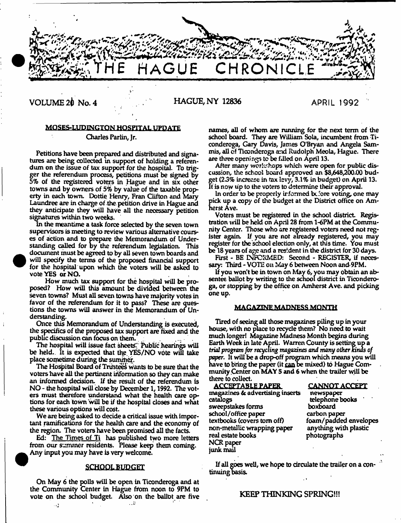

VOLUME 2^1 No. 4 HAGUE, NY 12836 **APRIL 1992**

## MOSES-LUPINGTON HOSPITAL UPDATE

Charles Parlin, Jr.

Petitions have been prepared and distributed and signatures are being collected in support of holding a referendum on the issue of tax support for the hospital. To trigger the referendum process, petitions must be signed by 5% of the registered voters in Hague and in six other towns and by owners of 5% by value of the taxable property in each town. Dottie Henry, Fran Clifton and Mary Laundree are in charge of the. petition drive in Hague and they anticipate they will have all the necessary petition signatures within two weeks.

in the meantime a task force selected by the seven town supervisors is meeting to review various alternative courses of action and to prepare the Memorandum of Understanding called for by the referendum legislation. This document must be agreed to by all seven town boards and will specify the terms of the proposed financial support for the hospital upon which the voters will be asked to vote YES or NO.

How much tax support for the hospital will be proposed? How will this amount be divided between the seven towns? Must all seven towns have majority votes in favor of the referendum for it to pass? These are questions the towns will answer in the Memorandum of Understanding.

Once this Memorandum of Understanding is executed, the specifics of the proposed tax support are fixed and the public discussion can focus on them. .

The hospital will issue fact sheets. Public hearings will be held. It is expected that the YES/NO vote will take place sometime during the sumiher.

The Hospital Board of Trusteed Wants to be sure that the voters have all the pertinent information so they can make an informed decision. If the result of the referendum is NO - the hospital will close by December 1,1992. The voters must therefore understand what the health care options for each town will be if the hospital closes and what these various options will cost.

We are being asked to decide a critical issue with important ramifications for the health care and the economy of the region. The voters have been promised all the facts.

Ed: The Times of Ti has published two more letters from our summer residents. Please keep them coming. Any input you may have is very welcome.

#### **SCHOOL BUDGET**

On May 6 the polls will be open in Ticonderoga and at the Community Center in Hague from noon to 9PM to vote on the school budget. Also on the ballot are five . . 3

names, all of whom are running for the next term of the school board. They are William Sola, incumbent from Ticonderoga, Cary Davis, James O'Bryan and Angela Sammis, all of Ticonderoga and Rudolph Meota, Hague. There are three openings to be filled on April 13.

After many workshops which were open for public discussion, the school board approved an \$8,648,200.00 budget *(23%* increase in tax levy, 3.1% in budget) on April 13. If is now up to the voters to determine their approval.

In order to be properly irformed before voting, one may pick up a copy of the budget at the District office on Amherst Ave.

Voters must be registered in the school district Registration will be held on April 28 from 1-6PM at the Community Center. Those who are registered voters need not register again. If you are not already registered, you may register for the school election only, at this time. You must be 18 years of age and a resident in the district for 30 days.

First - BE INFORMED: Second - REGISTER, if necessary: Third - VOTE on May 6 between Noon and-9PM.

If you won't be in town on May 6, you may obtain an absentee ballot by writing to the school district in Ticonderoga, or stopping by the office on Amherst Ave. and picking one up.

#### MAGAZINE MADNESS MONTH

Tired of seeing all those magazines piling up in your house, with no place to recycle them? No need to wait much longer! Magazine Madness Month begins during Earth Week in late April. Warren County is setting up a *trial program for recycling magazines and many other kinas of paper.* It will be a drop-off program which means you will have to bring the paper (it can be mixed) to Hague Community Center on MAY 5 and 6 when the trailer will be there to collect.

| <u>CANNOT ACCEPT</u><br>newspaper<br>telephone books<br>boxboard<br>carbon paper<br>foam/padded envelope<br>anything with plastic<br>photographs |
|--------------------------------------------------------------------------------------------------------------------------------------------------|
|                                                                                                                                                  |
|                                                                                                                                                  |

If all goes well, we hope to circulate the trailer on a continuing basis.

## KEEP THINKING SPRING!!!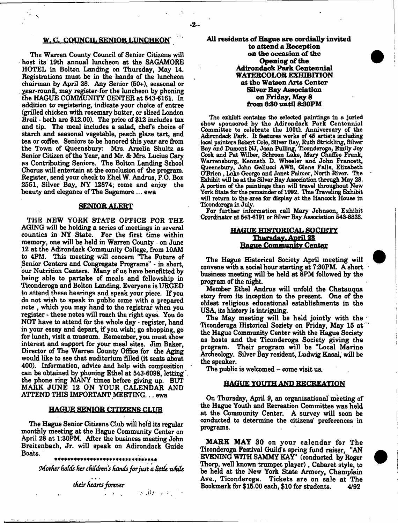#### W. C. COUNCIL SENIOR LUNCHEON

The Warren County Council of Senior Citizens will host its 19th annual luncheon at the SAGAMORE HOTEL in Bolton Landing on Thursday, May 14. Registrations m ust be in the hands of the luncheon chairman by April 26. Any Senior (60+), seasonal or year-round, may register for the luncheon by phoning the HAGUE COMMUNITY CENTER at 543-6161, In addition to registering, indicate your choice of entree (grilled chicken with rosemary butter, or sliced London Broil - both are \$12.00). The price of \$12 includes tax and tip. The meal includes a salad, chefs choice of starch and seasonal vegetable, peach glaze tart, and tea or coffee. Seniors to be honored this year are from the Town of Queensbury: Mrs. Arzelia Shultz as Senior Citizen of the Year, and Mr. & Mrs. Lucius Cary as Contributing Seniors. The Bolton Landing School Chorus will entertain at the conclusion of the program. Register, send your check to Ehel W. Andrus, P.O. Box 2551, Silver Bay, NY 12874; come and enjoy the beauty and elegance of The Sagamore ... ewa

#### SENIOR ALERT

THE NEW YORK STATE OFFICE FOR THE AGING will be holding a series of meetings in several counties in NY State. For the first time within memory, one will be held in Warren County - on June 12 at the Adirondack Community College, from 10AM to 4PM. This meeting will concern 'The Future of Senior Centers and Congregate Programs" - in short, our Nutrition Centers. Many of us have benefitted by being able to partake of meals and fellowship in Ticonderoga and Bolton Landing. Everyone is URGED to attend these hearings and speak your piece. If you do not wish to speak in public come with a prepared note , which you may hand to the registrar when you register - these notes will reach the right eyes. You do NOT have to attend for the whole day - register, hand in your essay and depart, if you wish; go shopping, go for lunch, visit a museum. Remember, you must show interest and support for your meal sites. Jim Baker, Director of The Warren County Office for the Aging would like to see that auditorium filled (it seats about 400). Information, advice and help with composition can be obtained by phoning Ethel at 543-6098, letting the phone ring MANY times before giving up. BUT MARK JUNE 12 ON YOUR CALENDAR AND ATTEND THIS IMPORTANT MEETING... ewa

#### HAGUE SENIOR CITIZENS CLUB

The Hague Senior Citizens Club will hold its regular monthly meeting at the Hague Community Center on April 28 at 1:30PM. After the business meeting John Breitenbach, Jr. will speak on Adirondack Guide Boats.

\*\*\*\*\*\*\*\*\*\*\*\*\*\*\*\*\*\*\*\*\*\*\*\*\*\*\*\*\*\*\*\*

*Mother fioCds her children's hands for just a tittle -while*

*their hearts forever*

All residents of Hague are cordially invited to attend a Reception on the occasion of the Opening of the Adirondack Park Centennial WATERCOLOR EXHIBITION at the Watson Arts Center **Silver Bay Association** on Friday, May 8 from 6:30 until 8:30PM

The exhibit contains the selected paintings in a juried show sponsored by the Adirondack Park Centennial Committee to celebrate the 100th Anniversary of the Adirondack Park. It features works of 45 artists including local painters Robert Cole, Silver Bay, Ruth Strickling, Silver Bay and Dumont NJ, Joan Pulling, Ticonderoga, Emily Joy Cook and Pat Wilber, Schroon Lake, Mary Chaffee Frank, Warrensburg, Kenneth D. Wheeler and John Francett, Queensbury, John Gallucci AWS, Glens Falls, Elizabeth O'Brien , Lake George and Janet Palmer, North River. The Exhibit will be at the Silver Bay Association through May 28. A portion of the paintings then will travel throughout New York State for the remainder of 1992. This Traveling Exhibit will return to the area for display at the Hancock House in Ticonderoga in July.

For further information call Mary Johnson, Exhibit Coordinator at 543-6791 or Silver Bay Association 543-8833.

## HAGUE HISTORICAL SOCIETY Thursday. April 23 Hague Community Center

The Hague Historical Society April meeting will convene with a social hour starting at 7:30PM. A short business meeting will be held at 8PM followed by the program of the night

Member Ethel Andrus will unfold the Chatauqua story from its inception to the present. One of the oldest religious educational establishments in the USA, its history is intriguing.

The May meeting will be held jointly with the Ticonderoga Historical Society on Friday, May 15 at the Hague Community Center with the Hague Society as hosts and the Ticonderoga Society giving the program. Their program will be "Local Marine Archeology. Silver Bay resident, Ludwig Kasai, will be the speaker.

The public is welcomed - come visit us.

#### HAGUE YOUTH AND RECREATION

On Thursday, April 9, an organizational meeting of the Hague Youth and Recreation Committee was held at the Community Center. A survey will soon be conducted to determine the citizens' preferences in programs.

MARK MAY 30 on your calendar for The Ticonderoga Festival Guild's spring fund raiser, "AN EVENING WITH SAMMY KAY' (conducted by Roger Thorp, well known trumpet player), Cabaret style, to be held at the New York State Armory, Champlain Ave., Ticonderoga. Tickets are on sale at The Bookmark for \$15.00 each, \$10 for students. 4/92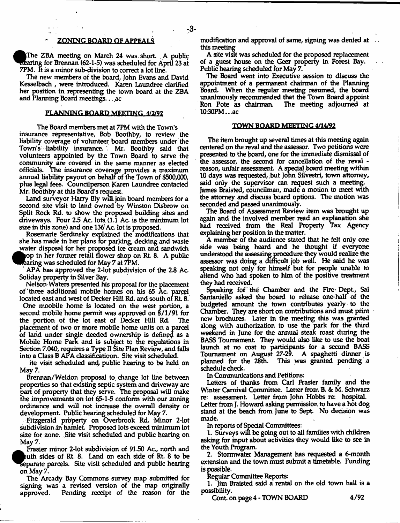#### ' ZONING BOARD Qf APPEALS

The ZBA meeting on March 24 was short. . A public rearing for Brennan (62-1-5) was scheduled for April 23 at 7PM. It is a minor sub-division to correct a lot line.

The new members of the board, John Evans and David Kesselbach , were introduced. Karen Laundree clarified her position in representing the town board at the ZBA and Planning Board meetings... ac

#### PLANNING BOARD MEETING 4/2/92

The Board members met at 7PM with the Town's insurance representative, Bob Boothby, to review the liability coverage of volunteer board members under the Town's liability insurance. Mr. Boothby said that volunteers appointed by the Town Board to serve the community are covered in the same manner as elected officials. The insurance coverage provides a maximum annual liability payout on behalf of the Town of \$500,000, plus legal fees. Coundlperson Karen Laundree contacted Mr. Boothby at this Board's request,

Land surveyor Harry Bly will .join board members for a second site visit to land owned by Winston Disbrow on Split Rock Rd. to show the proposed building sites and driveways. Four 25 Ac. lots. (1.1 Ac. is the minimum lot size in this zone) and one 136' Ac. lot is proposed.

Rosemarie Serdinsky explained the modifications that she has made in her plans for parking, decking and waste water disposal for her proposed ice cream and sandwich op in her former retail flower shop on Rt 8. A public

^ rearin g was scheduled for May 7 at 7PM.

APA has approved the 2-lot subdivision of the 2.8 Ac. Soliday property in Silver Bay.

Nelson-Waters presented his proposal for the placement of "three additional mobile homes on his 65 Ac. parcel

located east and west of Decker Hill Rd. and south of Rt. 8. One moobile home is located on the west portion, a second mobile home permit was approved on 8/1/91 for the portion of the lot east of Decker Hill Rd. The placement of two or more mobile home units on a parcel of land under single deeded ownership is defined as a Mobile Home Park and is subject to the regulations in Section 7.040, requires a Type II Site Plan Review, and falls into a Class B APA dassificatioon. Site visit scheduled.

ite visit scheduled and public hearing to be held on May 7.

Brennan/Weldon proposal to change lot line between properties so that existing septic system and driveway are part of property that they serve. The proposal will make the improvements on lot 65-1-5 conform with our zoning ordinance and will not increase the overall density or development. Public hearing scheduled for May 7.

Fitzgerald property on Overbrook Rd. Minor 2-lot subdivision in hamlet. Proposed lots exceed minimum lot size for zone; Site visit scheduled and public hearing on May 7.

Frasier minor 2-lot subdivision of 9150 Ac, north and ^B>uth sides of Rt. 8. Land on each side of Rt. 8 to be Separate parcels. Site visit scheduled and public hearing on May 7,

The Arcady Bay Commons survey map submitted for signing was a revised version of the map originally approved. Pending receipt of the reason for die modification and approval of same, signing was denied at this meeting

A site visit was scheduled for the proposed replacement of a guest house on the Geer property in Forest Bay. Public hearing scheduled for May 7.

The Board went into Executive session to discuss the appointment of a permanent chairman of the Planning Board, When the regular meeting resumed, the board unanimously recommended that the Town Board appoint Ron Pote as chairman. The meeting adjourned at 10:30PM....ac

#### TOWN BOARD MEETING 4/14/92

The item brought up several times at this meeting again centered on the reval and the assessor. Two petitions were presented to the board, one for the immediate dismissal of the assessor, the second for cancellation of the reval reason, unfair assessment. A special board meeting within 10 days was requested, but John Sdvestri, town attorney, said only the supervisor can request such a meeting. James Braisted, councilman, made a motion to meet with the attorney and discuss board options. The motion was seconded and passed unanimously.

The Board of Assessment Review item was brought up again and the involved member read an explanation she had received from the Real Property Tax Agency explaining her position in the matter.

A member of the audience stated that he felt only one side was being heard and he thought if everyone understood die assessing procedure they would realize the assessor was doing a difficult job well. He said he was speaking not only for himself but for people unable to attend who had spoken to him of the positive treatment they had received.

Speaking for the Chamber and the Fire Dept., Sal Santanieilo asked the board to release one-half of the budgeted amount the town contributes yearly to the Chamber. They are short on contributions and must print new brochures. Later in the meeting this was granted along with authorization to use the park for the third weekend in June for the annual steak roast during the BASS Tournament. They would also like to use the boat launch at no cost to participants for a second BASS Tournament on August 27-29. A spaghetti dinner is planned for the 28th. This was granted pending a schedule check.

In Communications and Petitions:

Letters of thanks from Carl Frasier family and the Winter Carnival Committee. Letter from B. & M. Schwarz re: assessment Letter from John Hobbs re: hospital. Letter from J. Howard asking permission to have a hot dog stand at the beach from June to Sept. No decision was made.

In reports of Special Committees:

1. Surveys will be going out to all families with children asking for input about activities they would like to see in the Youth Program.

2. Stormwater Management has requested a 6-month extension and the town must submit a timetable. Funding is possible.

Regular Committee Reports:

1. Jim Braisted said a rental on the old town hall is a possibility.

Cont. on page 4 - TOWN BOARD 4/92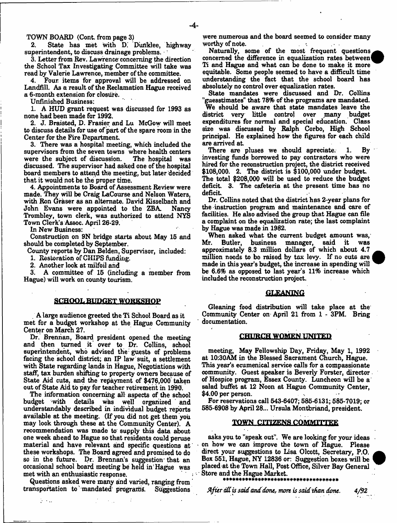TOWN BOARD (Cont from page 3)

2. State has met with D.' Duriklee, highway superintendent, to discuss drainage problems.

3. Letter from Rev. Lawrence'concerning the direction the School Tax Investigating Committee will take was read by Valerie Lawrence, member of the committee.

Four items for approval will be addressed on Landfill. As a result of the Reclamation Hague received a 6-month extension for closure.

Unfinished Business:

1. A HUD grant request was discussed for 1993 as none had been made for 1992.

2. J. Braisted, D. Frasier and Lu McGow will meet to discuss details for use of part of the spare room in the Center for the Fire Department

3. There was a hospital meeting, which included the supervisors from the seven towns where health centers<br>were the subject of discussion. The hospital was were the subject of discussion. discussed. The supervisor had asked one of the hospital board members to attend the meeting, but later decided that it would not be the proper time.

4. Appointments to Board of Assessment Review were made. They will be Craig LaCourse and Nelson Waters, with Ron Graser as an alternate. David Kisselbach and John Evans were appointed to the ZBA Nancy John Evans were appointed to the ZBA. Trombley, town clerk, was authorized to attend NYS Town Clerk's Assoc. April 26-29.

In New Business:

Construction on 9N bridge starts about May 15 and should be completed by September.

County reports by Dan Belden, Supervisor, included:

1. Restoration of CHIPS funding,

2. Another look at milfoil and

3. A committee of 15 (including a member from Hague) will work on county tourism.

#### SCHOOL BUDGET WORKSHOP

. A large audience greeted the Ti School Board as it met for a budget workshop at the Hague Community Center on March 27.

Dr. Brennan, Board president opened the meeting and then turned it *ovet* to Dr. Collins, school superintendent, who advised the guests of problems facing the school district; an IP law suit, a settlement with State regarding lands in Hague, Negotiations with staff, tax burden shifting to property owners because of State Aid cuts, and the repayment of \$476,000 taken out of State Aid to pay for teacher retirement in 1990.

The information concerning all aspects of the school<br>budget with details was well organized and details was well organized and understandably described in individual budget reports available at the meeting. (If you did not get them you may look through these at the Community Center). A recommendation was made to supply this data about one week ahead to Hague so that residents could peruse material and have relevant and specific questions at these workshops. The Board agreed and promised to do so in the future. Dr. Brennan's suggestion that an occasional school board meeting be held in Hague was met with an enthusiastic response.

Questions asked were many and varied, ranging from transportation to mandated programs. Suggestions

 $\sim 10$ 

were numerous and the board seemed to consider many worthy of note.  $\mathcal{L}^{\mathcal{L}}$  ,  $\mathcal{L}^{\mathcal{L}}$ 

Naturally, some of the most frequent questions concerned the difference in equalization rates between Ti and Hague and what can be done to make it more equitable. Some people seemed to have a difficult time understanding the fact that the school board has absolutely no control over equalization rates.

State mandates were discussed and Dr. Collins "guesstimates" that 78% of the programs are mandated.

We should be aware that state mandates leave the district very little control over many budget expenditures for normal and special education. Class size was discussed by Ralph Corbo, High School principal. He explained how the figures for each child are arrived at.

There are pluses we should apreciate. 1. By investing funds borrowed to pay contractors who were hired for the reconstruction project, the district received \$108,000. 2. The district is \$100,000 under budget The total \$208,000 will be used to reduce the budget deficit. 3. The cafeteria at the present time has no deficit

Dr. Collins noted that the district has 2-year plans for the instruction program and maintenance and care of facilities. He also advised the group that Hague can file a complaint on the equalization rate; the last complaint by Hague was made in 1982.

When asked what the current budget amount was,<br>r. Butler, business manager, said it was Mr. Butler, business manager, said it was approximately 8.3 million dollars of which about 4.7 million noods to bo raised by tax levy. If no cuts are made in this year's budget, the increase in spending will be 6.6% as opposed to last year's 11% increase which included the reconstruction project.



Gleaning food distribution will take place at the Community Center on April 21 from 1 - 3PM. Bring documentation.

#### CHURCH, WOMEN UNITED

meeting, May Fellowship Day, Friday, May 1, 1992 at 10:30AM in the Blessed Sacrament Church, Hague. This year's ecumenical service calls for a compassionate community. Guest speaker is Beverly Forster, director of Hospice program, Essex County. Luncheon will be a salad buffet at 12 Noon at Hague Community Center, \$4.00 per person.

For reservations call 543-6407; 585-6131; 585-7019; or 585-6908 by April 28... Ursula Montbriand, president.

#### TOWN CITIZENS COMMITTEE

asks you to "speak out". We are looking for your ideas on how we can improve the town of Hague. Please direct your suggestions to Lisa Olcott, Secretary, P.O. Box 551, Hague, NY 12836 or: Suggestion boxes will be placed at the Town Hall, Post Office, Silver Bay General Store and the Hague Market.

*After dd is said and done, more is said than daw. 4/92*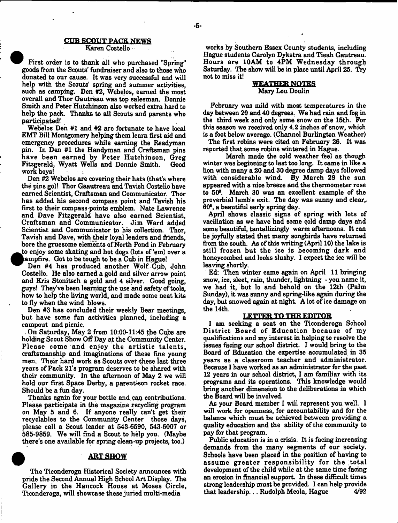#### **CUB SCOUT PACK NEWS**

#### Karen Costello

First order is to thank all who purchased "Spring" goods from the Scouts' fundraiser and also to those who donated to our cause. It was very successful and will help with the Scouts' spring and summer activities, such as camping. Den #2, Webelos, earned the most overall and Thor Gautreau was top salesman. Donnie Smith and Peter Hutchinson also worked extra hard to help the pack. Thanks to all Scouts and parents who participated!

Webelos Den #1 and #2 are fortunate to have local EMT Bill Montgomery helping them learn first aid and emergency procedures while earning the Readyman pin. In Den #1 the Handyman and Craftsman pins have been earned by Peter Hutchinson, Greg<br>Fitzgerald, Wyatt Wells and Donnie Smith. Good Fitzgerald, Wyatt Wells and Donnie Smith. work boys!

Den #2 Webelos are covering their hats (that's where the pins go)! Thor Gaautreau and Tavish Costello have earned Scientist, Craftsman and Communicator. Thor has added his second compass point and Tavish his first to their compass points emblem. Nate Lawrence and Dave Fitzgerald have also earned Scientist, Craftsman and Communicator. Jim Ward added Scientist and Communicator to his collection. Thor, Tavish and Dave, with their loyal leaders and friends, bore the gruesome elements of North Pond in February • to enjoy some skating and hot dogs (lots of 'em) over a ^ampfire. Got to be tough to be a Cub in Hague!

Den #4 has produced another Wolf Cub, John Costello. He also earned a gold and silver arrow point Costello. He also earned a gold and silver arrow point and Kris Stonitsch a gold and 4 silver. Good going, guys! They've been learning the use and safety of tools, how to help the living world, and made some neat kits to fly when the wind blows.<br>Den #3 has concluded their weekly Bear meetings.

Den #3 has concluded their weekly Bear meetings, but have some fun activities planned, including a cam pout and picnic.

On Saturday, May 2 from 10:00-11:45 the Cubs are holding Scout Show Off Day at the Community Center. Please come and enjoy the artistic talents, craftsmanship and imaginations of these fine young men. Their hard work as Scouts over these last three years of Pack 21's program deserves to be shared with their community. In the afternoon of May 2 we will hold our first Space Derby, a parent-son rocket race. Should be a fun day.

Thanks again for your bottle and ean contributions. Please participate in the magazine recycling program on May 5 and 6. If anyone really can't get their recyclables to the Community Center those days, please call a Scout leader at 543-6590, 543-6007 or 585-9859. We will find a Scout to help you. (Maybe there's one available for spring clean-up projects, too.)

## **ART SHOW**

The Ticonderoga Historical Society announces with pride the Second Annual High School Art Display. The Gallery in the Hancock House at Moses Circle, Ticonderoga, will showcase these juried multi-media

works by Southern Essex County students, including Hague students Carolyn Dykstra and Tieah Gautreau. Hours are 10AM to 4PM Wednesday through Saturday. The show will be in place until April 25. Try not to miss it!

## WEATHER NOTES Mary Lou Doulin

February was mild with most temperatures in the day between 20 and 40 degrees. We had rain and fog in the third week and only some snow on the 15th. For this season we received only 4.2 inches of snow, which is a foot below average. (Channel Burlington Weather)

The first robins were cited on February 26. It was reported that some robins wintered in Hague.

March made the cold weather feel as though winter was beginning to last too long. It came in like a lion with many a 20 and 30 degree damp days followed with considerable wind. By March 29 the sun appeared with a nice breeze and the thermometer rose to 50<sup>o</sup>. March 30 was an excellent example of the proverbial lamb's exit. The day was sunny and clear,. 60\*, a beautiful early spring day.

April shows classic signs of spring with lots of vacillation as we have had some cold damp days and some beautiful, tantallizingly warm afternoons. It can be joyfully stated that many songbirds have returned from the south. As of this writing (April 10) the lake is still frozen but the ice is becoming dark and honeycombed and looks slushy. I expect the ice will be leaving shortly.

Ed: Then winter came again on April 11 bringing snow, ice, sleet, rain, thunder, lightning - you name it, we had it, but lo and behold on the 12th (Palm Sunday), it was sunny and spring-like again during the day, but snowed again at night. A lot of ice damage on the 14th.

## LETTER TO THE EDITOR

I am seeking a seat on the Ticonderoga School District Board of Education because of my qualifications and my interest in helping to resolve the issues facing our school district I would bring to the Board of Education the expertise accumulated in 35 years as a classroom teacher and administrator. Because I have worked as an administrator for the past 12 years in our school district, I am familiar with its programs and its operations. This knowledge would bring another dimension to the deliberations in which the Board will be involved.

As your Board member I will represent you well. I will work for openness, for accountability and for the balance which must be achieved between providing a quality education and the ability of the community to pay for that program.

Public education is in a crisis. It is facing increasing demands from the many segments of our society. Schools have been placed in the position of having to assume greater responsibility for the total development of the child while at the same time facing an erosion in financial support. In these difficult times strong leadership must be provided. I can help provide that leadership... Rudolph Meola, Hague  $4/92$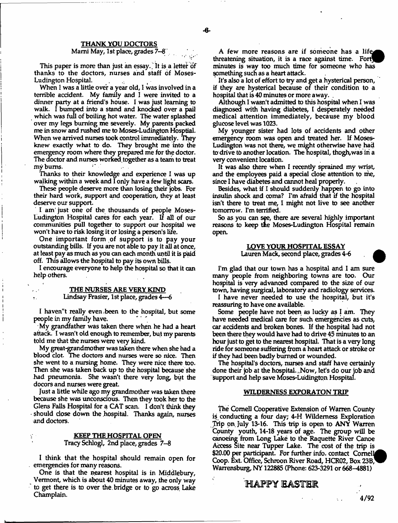#### THANK YOU DOCTORS

#### Marni May, 1st place, grades 7--8

This paper is more than just an essay. It is a letter of thanks to the doctors, nurses and staff of Moses-Ludington Hospital.

When I was a little over a year old, 1 was involved in a terrible accident. My family and 1 were invited to a dinner party at a friend's house. I was just learning to walk. I bumped into a stand and knocked over a pail which was full of boiling hot water. The water splashed over my legs burning me severely. My parents packed me in snow and rushed me to Moses-Ludington Hosptial. When we arrived nurses took control immediately. They knew exactly what to do. They brought me into the emergency room where they prepared me for the doctor. The doctor and nurses worked, together as a team to treat my bums.

Thanks to their knowledge and experience I was up walking within a week and I only have a few light scars.

These people deserve more than losing their jobs. For their hard work, support and cooperation, they at least deserve our support.

I am' just one of the thousands of people Moses-Ludington Hospital cares for each year. If all of our communities pull together to support our hospital we won't have to risk losing it or losing a person's life.

One important form of support is to pay your outstanding bills. If you are not able to pay it all at once, at least pay as much as you can each month until it is paid off. This allows the hospital to pay its own bills.

I encourage everyone to help the hospital so that it can help others.

## THE NURSES ARE VERY KIND

#### . Lindsay Frasier, 1st place, grades 4—6

I haven"t really even been to the hospital, but some people in my family have.

My grandfather was taken there when he had a heart attack. I wasn't old enough to remember, but my parents told me that the nurses were very kind.

My great-grandmother was taken there when she had a blood clot. The doctors and nurses were so nice. Then she went to a nursing home. They were nice there too. Then she was taken back up to the hospital because she had pneumonia. She wasn't there very long, but the docors and nurses were great.

Just a little while ago my grandmother was taken there because she was unconscious. Then they took her to the Glens Falls Hospital for a CAT scan. I don't think they should close down the hospital. Thanks again, nurses and doctors.

#### KEEP THE HOSPITAL OPEN Tracy Schlogl, 2nd place, grades 7-8

I think that the hospital should remain open for emergencies for many reasons.

One is that the nearest hospital is in Middlebury, Vermont, which is about 40 minutes away, the only way to get there is to over the. bridge or to go across Lake Champlain.

A few more reasons are if someone has a life threatening situation, it is a race against time. Fort minutes is way too much time for someone who has something such as a heart attack.

It's also a lot of effort to try and get a hysterical person, if they are hysterical because of their condition to a hospital that is 40 minutes or more away. .

Although I wasn't admitted to this hospital when I was diagnosed with having diabetes, I desperately needed medical attention immediately, because my blood glucose level was 1023.

My younger sister had lots of accidents and other emergency room was open and treated her. If Moses-Ludington was not there, we might otherwise have had to drive to another location. The hospital, thogh,wasin a very convenient location.

It was also there when I recently sprained my wrist, and the employees paid a special dose attention to me, since I have diabetes and cannot heal properly.

Besides, what if I should suddenly happen to go into insulin shock and coma? I'm afraid that if the hospital isn't there to treat me, I might not live to see another tomorrow. I'm terrified.

So as you can see, there are several highly important reasons to keep the Moses-Ludington Hospital remain open

#### LOVE YOUR HOSPITAL ESSAY

Lauren Mack, second place, grades 4-6

I'm glad that our town has a hospital and I am sure many people from neighboring towns are too. Our hospital is very advanced compared to the size of our town, having surgical, laboratory and radiology services.

I have never needed to use the hospital, but it's reassuring to have one available.

Some people have not been as lucky as I am. They have needed medical care for such emergencies as cuts, car accidents and broken bones. If the hospital had not been there they would have had to drive 45 minutes to an hour just to get to the nearest hospital. That is a very long ride for someone suffering from a heart attack or stroke or if they had been badly burned or wounded.

The hospital's doctors, nurses and staff have certainly done their job at the hospital. Now, let's do our job and Support and help save Moses-Ludington Hospital.

#### WILDERNESS EXPORATON TRIP

The Cornell Cooperative Extension of Warren County is conducting a four day; 4-H Wilderness Exploration Trip on July 13-16. This trip is open to ANY Warren County youth, 14-18 years of age. The group will be canoeing from Long Lake to the Raquette River Canoe Access Site near Tupper Lake. The cost of the trip is \$20.00 per participant. For further info. contact Cornell Coop. Ext. Office, Schroon River Road, HCR02, Box 23B, Warrensburg, NY 122885 (Phone: 623-3291 or 668-4881)

## **'HAPPY EASTER**

4/92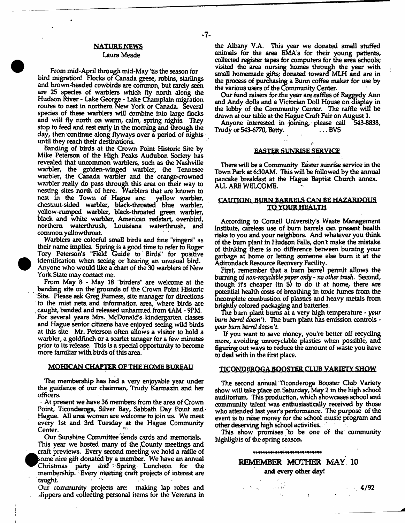#### NATURE NEWS

#### Laura Meade

From mid-April through mid-May 'tis the season for bird migration! Flocks of Canada geese, robins, starlings and brown-headed cowbirds are common, but rarely seen are 25 species of warblers which fly north along the Hudson River - Lake George - Lake Champlain migration routes to nest in northern New York or Canada. Several species of these warblers will combine into large flocks and will fly north on warm, calm, spring nights. They stop to feed and rest early in the morning and through the day, then continue along flyways over a period of nights until they reach their destinations.

Banding of birds at the Crown Point Historic Site by Mike Peterson of the High Peaks Audubon Society has revealed that uncommon warblers, such as the Nashville warbler, the golden-winged warbler, the Tennesee warbler, the Canada warbler and the orange-crowned warbler really do pass through this area on their way to nesting sites north of here. Warblers that are known to nest in the Town of Hague are: yellow warbler, nest in the Town of Hague are: chestnut-sided warbler, black-throated blue warbler, yellow-rumped warbler, black-throated green warbler, black and white warbler, American redstart, ovenbird, northern waterthrush, Louisiana waterthrush, and common yellowthroat.

Warblers are colorful small birds and fine "singers" as their name implies. Spring is a good time to refer to Roger Tory Peterson's "Held Guide to Birds" for positive identification when seeing or hearing an unusual bird. Anyone who would like a.chart of the 30 warblers of New York State may contact me.

From May 8 - May 18 "birders" are welcome at the banding site on the'grounds of the Crown Point Historic Site. Please ask Greg Furness, site manager for directions to the mist nets and information area, where birds are , caught, banded and released unharmed from 4AM - 9PM. For several years Mrs. McDonald's kindergarten classes and Hague senior citizens have enjoyed seeing wild birds at this site. Mr. Peterson often allows a visitor to hold a warbler, a goldfinch or a scarlet tanager for a few minutes prior to its release. This is a special opportunity to become more familiar with birds of this area.

#### MOHICAN CHAPTER OF THE HOME BUREAU

The membership has had a very enjoyable year under the guidance of our chairman, Trudy Karmazin and her officers.

At present we have 36 members from the area of Crown Point, Ticonderoga, Silver Bay, Sabbath Day Point and Hague. All area women are welcome to join us. We meet every 1st and 3rd Tuesday at the Hague Community Center.

Our Sunshine Committee sends cards and memorials. This year we hosted many of the County meetings and craft previews. Every second meeting we hold a raffle of ksome nice gift donated by a member. We have an annual ^Christmas party arid '' Spring Luncheon for the membership. Every meeting craft projects of interest are taught.

Our community projects are: making lap robes and slippers and collecting personal items for the Veterans in

 $-7-$ 

the Albany V.A, This year we donated small stuffed animals for the area EMA's for their young patients, collected register tapes for computers for the area schools; visited the area nursing homes through the year with small homemade gifts; donated toward MLH and are in the process of purchasing a Bunn coffee maker for use by the various users of the Community Center.

Our fund raisers for the year are raffles of Raggedy Ann and Andy dolls and a Victorian Doll House on display in the lobby of the Community Center. The raffle will be drawn at our table at the Hague Craft Fair on August 1.

Anyone interested in -joining, please call 543-8838, Trudy or 543-6770, Betty.

#### EASTER SUNRISE SERVICE

There will be a Community Easter sunrise service in the Town Park at 6:30AM. This will be followed by the annual pancake breakfast at the Hague Baptist Church annex. ALL ARE WELCOME.

## CAUTION: BURN BARRELS CAN BE HAZARDOUS TO. YQUK HEALTH

According to Cornell University's Waste Management Institute, careless use of bum barrels can present health risks to you and your neighbors. And whatever you think of the bum plant in Hudson Falls, don't make the mistake of thinking there is no difference between burning your garbage at home or letting someone else bum it at the Adirondack Resource Recovery Facility.

First, remember that a bum barrel permit allows the burning of *non-reeychble paper only* - *no other trash*, Second, though it's cheaper (in \$) to do it at home, there are potential health costs of breathing in toxic fumes from the incomplete combustion of plastics and heavy metals from brightly colored packaging and batteries.

The bum plant bums at a very high temperature - *your bum barret* doesn't. The bum plant has emission controls *your bum barrel doesn*'t.

If you want to save money, you're better off recycling more, avoiding unrecyclable plastics when possible, and figuring out ways to reduce the amount of waste you have to deal with in the first place.

#### TICONDEROGA BOOSTER CLUB VARIETY SHOW

The second annual Ticonderoga Booster Club Variety show will take place on Saturday, May 2 in the high school auditorium. Tnis production, which showcases school and community talent was enthusiastically received by those who attended last year's performance. The purpose of the event is to raise money for the school music program and other deserving high school activities.

This show promises to be one of the community highlights of the spring season.

\*\*\*\*\*\*\*\*\*\*\*\*\*\*\*\*\*\*\*\*\*\*\*\*\*\*\*\*

**Contract**  $\mathbf{1}_{\mathbf{m}}$  ,  $\mathbf{1}_{\mathbf{r}}$ 

# REMEMBER MOTHER MAY. 10 and every other day!

 $\cdot$  4/92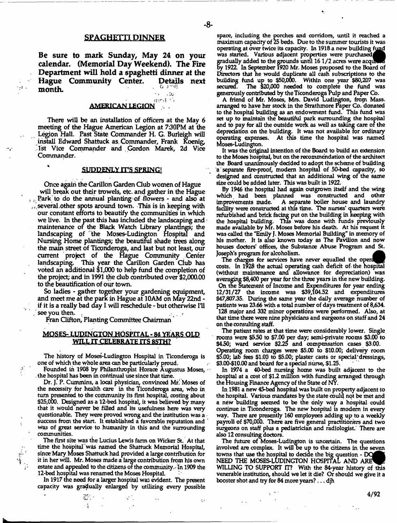## SPAGHETTI DINNER

Be sure to mark Sunday, May 24 on your calendar. (Memorial Day Weekend). The Fire Department will hold a spaghetti dinner at the Hague Community Center. Detail month.

# AMERICAN LEGION

There will be an installation of officers at the May 6 meeting of the Hague American Legion at 730PM at the Legion Hall. Past State Commander H. G. Burleigh will install Edward Shattuck as. Commander, Frank Koenig, 1st Vice Commander and Gordon Marek, 2d Vice Commander.

## SUDDENLY IT'S SPRING!

Once again the Carillon Garden Club women of Hague will break out their trowels, etc. and gather in the Hague ... Park to do the annual planting of flowers - and also at / several .other spots around town. This is in keeping with our constant efforts to beautify the communities in which we live. In the past this has included the landscaping and: maintenance of the Black Watch Library plantings; the landscaping of "the Moses-Ludington Hospital and Nursing Home plantings; the beautiful shade trees along the main street of Ticonderoga, and last but not least, our current project of the Hague Community Center landscaping. This year the Carillon Garden Club has voted an additional \$1,000 to help fund the completion of the project; and in 1991 die dub contributed over \$2,000.00 to the beautification of our town.

So ladies - gather together your gardening equipment, and meet me at the park in Hague at 10AM on May 22nd if it is a really bad day I will reschedule - but otherwise IH  $\sim$  see you then.

Fran Clifton, Planting Committee Chairman '

#### MOSES-LUDINGTON HOSPITAL - 84 YEARS OLD WILL IT CELEBRATE ITS 85TH?

The history of Moses-Ludington Hospital in Ticonderoga is one of which the whole area can be particularly proud.

Founded in 1908 by Philanthropist Horace Augustus Moses,  $\sim$ . the hospital has been in continual use since that time.

Dr. J. P. Cummins, a local physician, convinced Mr. Moses of the necessity for health care in the Ticonderoga area, who in turn presented to the community its first hospital, costing about \$25,000. Designed as a 12-bed hospital, it was believed by many that it would never be filled and its usefulness here was very questionable. They were proved wrong and the institution was a success from the start. It established a favorable reputation and ' was of great service to humanity in this and the surrounding communities.

The first site was the Lucius Lewis farm on Wicker St. At that time the hospital was named the Shattuck Memorial Hospital, since Mary Moses Shattuck had provided a large contribution for it in her will. Mr. Moses made a large contribution from his own estate and appealed to the citizens of the community.- In 1909 the 12-bed hospital was renamed the Moses Hospital.

In 1917 the need for a larger hospital was evident. The present capacity was gradually enlarged by utilizing every possible

- 7

space, including the porches and corridors, until it reached a maximum capacity of 25 beds. Due to the summer tourists it was operating at over twice its capacity. In 1918 a new building fimd was started. Various adjacent properties were purchased gradually added to the grounds until 16 1/2 acres were acqui by 1921 In September 1920 Mr. Moses proposed to the Board of Directors that he would duplicate all cash subscriptions to the building fund up to \$50,000. Within one year \$80,207 was secured. The \$20,000 needed to complete the fund was generously contributed by the Ticonderoga Pulp and Paper Co.

A friend of Mr. Moses, Mrs. David Ludington, from Mass. arranged to have her stock in the Strathmore Paper Co. donated to the hospital building as an endowment fund. This fund was set up to maintain the beautiful park surrounding the hospital and to pay for all the outside work as well as taking care of the depreciation on the building. It was not available for ordinary operating expenses. At this time the hospital was named Moses-Ludington.

It was the original intention of the Board to build an extension to the Moses hospital, but on the recommendation of the architect the Board unanimously decided to adopt the scheme of building a'separate fire-proof, modem hospital of 50-bed capacity, so designed and constructed that an additional wing of the same size could be added later. This was built in 1922.

By 1946 the hospital had again outgrown itself and the wing which had been planned was constructed and other improvements made. A separate boiler house and laundry facility were constructed at this time. The nurses' Quarters were refurbished and brick facing put on the building in keeping with the hospital building. This was done with funds previously made available by Mr. Moses before his death. At his request it was called the "Emily J. Moses Memorial Building" in memory of his mother. It is also known today as The Pavilion and now houses doctors' offices, the Substance Abuse Program and St. Joseph's program for alcoholism.

The charges for services have never equalled the opera costs. In 1928 the actual operating cash deficit of. the hospital (without maintenance and allowance for depreciation) was averaging \$8,400 per year for the three years in the new building. On the Statement of Income and Expenditures for year ending 12/31/27 the income was \$39,104.52 and expenditures \$47,807.35. During the same year the daily average number of patients was 23.66 with a total number of days treatment of 8,634. 128 major and 332 minor operations were performed. Also, at that time there were nine physicians and surgeons on staff and 24 on the consulting staff.

The patient rates at that time were considerably lower. Single rooms were \$550 to \$7.00 per day; semi-private rooms \$3.00 to \$450; ward service \$225 and compensation cases \$3.00. Operating room charges were \$5.00 to \$10.00; delivery room \$5.00; lab fees \$1.00 to \$5.00; plaster casts or special "dressings,  $$3.00$$ - $$10.00$  and board for a special nurse,  $$1.25$ .

In 1974 a 40-bed nursing home was built adjacent to the hospital at a cost of \$12 million with funding arranged through the Housing Finance Agency of the State of NY.

In 1981 a new 45-bed hospital was built on property adjacent to the hospital. Various mandates by the state could not be met and a new building seemed to be the only way a hospital could continue in Ticonderoga. The new hospital is modem in every way. There are presently 160 employees adding up to a weekly payroll of \$70,000. There are five general practitioners and two surgeons on staff plus a pediatrician and radiologist There are also 12 consulting doctors.

The future of Moses-Ludington is uncertain. The questions involved are complex. It will be up to the citizens in the seven towns that use the hospital to decide the big question - DC NEED THE MOSES-LUDINGTON HOSPITAL AND ARE WILLING TO SUPPORT IT? With the 84-year history of this venerable institution, should we let it die? Or should we give it a booster shot and try for 84 more years? ... djh

4/92

-8-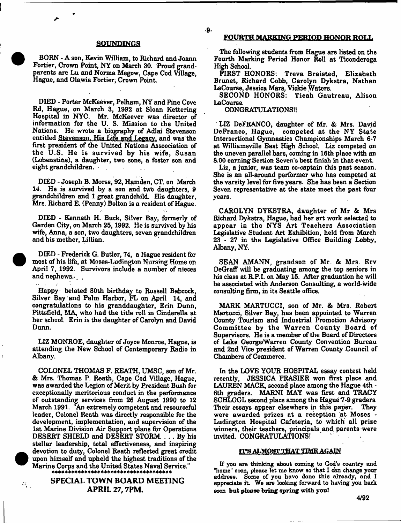#### SOUNDINGS

BORN - A son, Kevin William, to Richard and Joann Fortier, Crown Point, NY on March 30. Proud grandparents are Lu and Norma Megow, Cape Cod Village, Hague, and Olawia Fortier, Crown Point.

DIED - Porter McKeever, Pelham, NY and Pine Cove Rd, Hague, on March 3, 1992 at Sloan Kettering Hospital in NYC. Mr. McKeever was director of information for the U. S. Mission to the United Nations. He wrote a biography of Adlai Stevenson entitled Stevenson. His Life and Legacy, and was the first president of the United Nations Assoodation of the U.S. He is survived by his wife, Susan (Lobenstine), a daughter, two sons, a foster son and eight grandchildren. .

DIED - Joseph B. Morse, 92, Hamden, CT. on March 14. He is survived by a son and two daughters, 9 grandchildren and 1 great grandchild. His daughter, Mrs. Richard E. (Penny) Bolton is a resident of Hague.

DIED - Kenneth H. Buck, Silver Bay, formerly of Garden City, on March 25,1992. He is survived by his wife, Anna, a son, two daughters, seven grandchildren and his mother, Lillian.

DIED - Frederick G. Butler, 74, a Hague resident for most of his life, at Moses-Ludington Nursing Home on April 7, 1992. Survivors include a number of nieces and nephews. $\ldots$ .

Happy belated 80th birthday to Russell Babcock, Silver Bay and Palm Harbor, FL on April 14, and congratulations to his granddaughter, Erin Dunn, Pittsfield, MA, who had the title roll in Cinderella at her school. Erin is the daughter of Carolyn and David Dunn.

LIZ MONROE, daughter of Joyce Monroe, Hague, is attending the New School of Contemporary Radio in Albany.

COLONEL THOMAS F. REATH, UMSC, son of Mr. & Mrs. Thomas P. Reath, Cape Cod Village, Hague, was awarded the Legion of Merit by President Bush for exceptionally meritorious conduct in the performance of outstanding services from 26 August 1990 to 12 March 1991. "An extremely competent and resourceful leader, Colonel Reath was directly responsible for the development, implementation, and supervision of the 1st Marine Division Air Support plans for Operations DESERT SHIELD and DESERT STORM. . . . By his stellar leadership, total effectiveness, and inspiring devotion to duty, Colonel Reath reflected great credit upon himself and upheld the highest traditions of the Marine Corps and the United States Naval Service."

> SPECIAL TOWN BOARD MEETING APRIL 27,7PM.

Ϋ́,

#### FOURTH MARKING PERIOD HONOR ROLL

The following students from Hague are listed on the Fourth Marking Period Honor Roll at Ticonderoga High School.

FIRST HONORS: Treva Braisted, Elizabeth Brunet, Richard Cobb, Carolyn Dykstra, Nathan LaCourse, Jessica Mars, Vickie Waters.

SECOND HONORS: Tieah Gautreau, Alison LaCourse.

#### CONGRATULATIONS!!

-9-

LIZ DeFRANCO, daughter of Mr. & Mrs. David DeFranco, Hague, competed at the NY State Intersectional Gymnastics Championships March 6-7 at WilliamsviUe East High School. Liz competed on the uneven parallel bars, coming in 16th place with an 8.00 earning Section Seven's best finish in that event.

Liz, a junior, was team co-captain this past season. She is an all-around performer who has competed at the varsity level for five years. She has been a Section Seven representative at the state meet the past four years.

CAROLYN DYKSTRA, daughter of Mr & Mrs Richard Dykstra, Hague, had her art work selected to appear in the NYS Art Teachers Association Legislative Student Art Exhibition, held firom March 23 - 27 in the Legislative Office Building Lobby, Albany, NY.

SEAN AMANN, grandson of Mr. & Mrs. Erv DeGraff will be graduating among the top seniors in his class at R.P.I. on May 15. After graduation he will be associated with Anderson Consulting, a world-wide consulting firm, in its Seattle office.

MARK MARTUCCI, son of Mr. & Mrs. Robert Martucci, Silver Bay, has been appointed to Warren County Tourism and Industrial Promotion Advisory Committee by the Warren County Board of Supervisors. He is a member of the Board of Directors of Lake George/Warren County Convention Bureau and 2nd Vice president of Warren County Council of Chambers of Commerce.

In the LOVE YOUR HOSPITAL essay contest held recently, JESSICA FRASIER won first place and LAUREN MACK, second place among the Hague 4th - 6th graders. MARNI MAY was first and TRACY SCHLOGL second place among the Hague'7-9 graders. Their essays appear elsewhere in this paper. They were awarded prizes at a reception at Moses -Ludington Hospital Cafeteria, to which all prize winners, their teachers, principals and parents were invited. CONGRATULATIONS!

#### ITS ALMOST THAT TIME AGAIN

If you are thinking about coming to God's country and "home" soon, please let me know so that I can change your address. Some of you have done this already, and I appreciate it. We are looking forward to having you back soon but please bring spring with you!